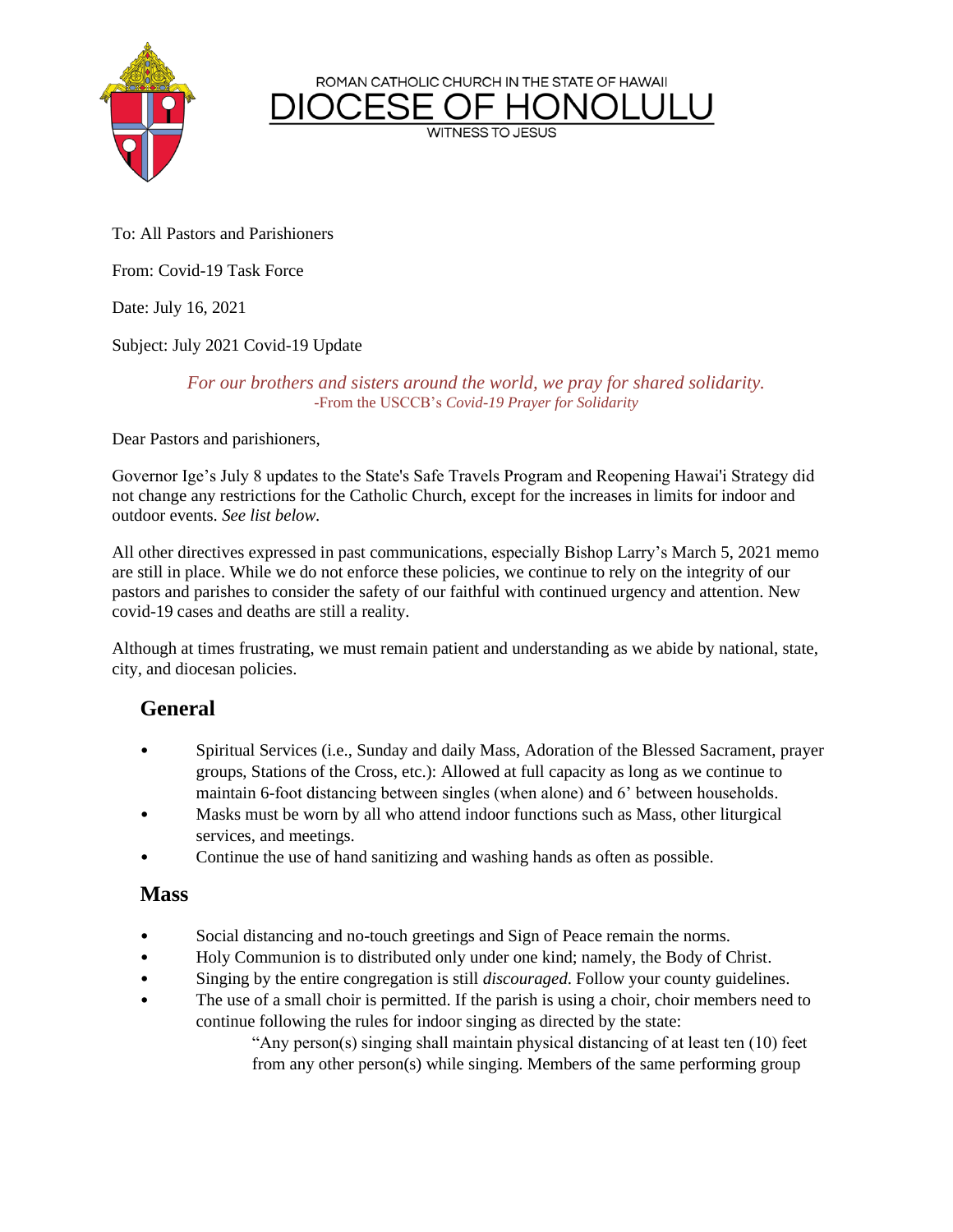ROMAN CATHOLIC CHURCH IN THE STATE OF HAWAII

**WITNESS TO JESUS** 



To: All Pastors and Parishioners

From: Covid-19 Task Force

Date: July 16, 2021

Subject: July 2021 Covid-19 Update

*For our brothers and sisters around the world, we pray for shared solidarity.* -From the USCCB's *Covid-19 Prayer for Solidarity*

Dear Pastors and parishioners,

Governor Ige's July 8 updates to the State's Safe Travels Program and Reopening Hawai'i Strategy did not change any restrictions for the Catholic Church, except for the increases in limits for indoor and outdoor events. *See list below.*

All other directives expressed in past communications, especially Bishop Larry's March 5, 2021 memo are still in place. While we do not enforce these policies, we continue to rely on the integrity of our pastors and parishes to consider the safety of our faithful with continued urgency and attention. New covid-19 cases and deaths are still a reality.

Although at times frustrating, we must remain patient and understanding as we abide by national, state, city, and diocesan policies.

## **General**

- Spiritual Services (i.e., Sunday and daily Mass, Adoration of the Blessed Sacrament, prayer groups, Stations of the Cross, etc.): Allowed at full capacity as long as we continue to maintain 6-foot distancing between singles (when alone) and 6' between households.
- Masks must be worn by all who attend indoor functions such as Mass, other liturgical services, and meetings.
- Continue the use of hand sanitizing and washing hands as often as possible.

## **Mass**

- Social distancing and no-touch greetings and Sign of Peace remain the norms.
- Holy Communion is to distributed only under one kind; namely, the Body of Christ.
- Singing by the entire congregation is still *discouraged*. Follow your county guidelines.
- The use of a small choir is permitted. If the parish is using a choir, choir members need to continue following the rules for indoor singing as directed by the state:

"Any person(s) singing shall maintain physical distancing of at least ten (10) feet from any other person(s) while singing. Members of the same performing group